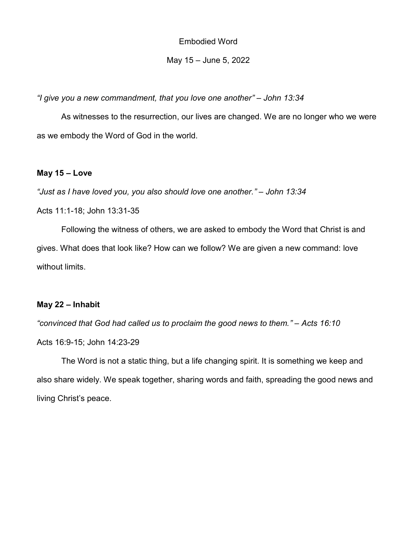Embodied Word

#### May 15 – June 5, 2022

"I give you a new commandment, that you love one another" – John 13:34

As witnesses to the resurrection, our lives are changed. We are no longer who we were as we embody the Word of God in the world.

#### May 15 – Love

"Just as I have loved you, you also should love one another." – John 13:34

Acts 11:1-18; John 13:31-35

 Following the witness of others, we are asked to embody the Word that Christ is and gives. What does that look like? How can we follow? We are given a new command: love without limits.

## May 22 – Inhabit

"convinced that God had called us to proclaim the good news to them." – Acts 16:10

Acts 16:9-15; John 14:23-29

 The Word is not a static thing, but a life changing spirit. It is something we keep and also share widely. We speak together, sharing words and faith, spreading the good news and living Christ's peace.